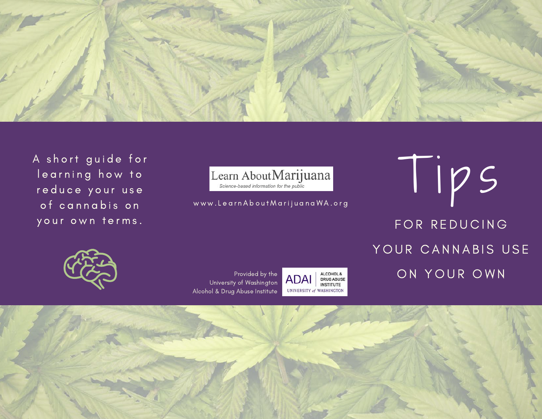

A short guide for learning how to reduce your use of cannabis on your own terms.



Learn About Marijuana<br>
Science-based information for the public<br>
www.Learn About MarijuanaWA.org FOR REDUCING YOUR CANNABIS USE ON YOUR OWN



Provided by the University of Washington Alcohol & Drug Abuse Institute